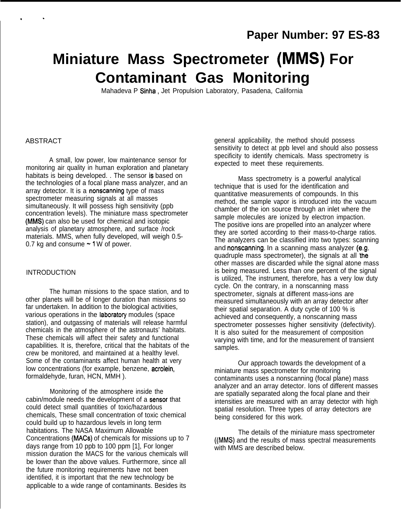# **Paper Number: 97 ES-83**

# **Miniature Mass Spectrometer (MMS) For Contaminant Gas Monitoring**

Mahadeva P Sinha, Jet Propulsion Laboratory, Pasadena, California

### **ABSTRACT**

. .

A small, low power, low maintenance sensor for monitoring air quality in human exploration and planetary habitats is being developed. . The sensor is based on the technologies of a focal plane mass analyzer, and an array detector. It is a nonscanning type of mass spectrometer measuring signals at all masses simultaneously. It will possess high sensitivity (ppb concentration levels). The miniature mass spectrometer (MMS) can also be used for chemical and isotopic analysis of planetary atmosphere, and surface /rock materials. MMS, when fully developed, will weigh 0.5- 0.7 kg and consume  $\sim$  1 W of power.

#### INTRODUCTION

The human missions to the space station, and to other planets will be of longer duration than missions so far undertaken. In addition to the biological activities, various operations in the laboratory modules (space station), and outgassing of materials will release harmful chemicals in the atmosphere of the astronauts' habitats. These chemicals will affect their safety and functional capabilities. It is, therefore, critical that the habitats of the crew be monitored, and maintained at a healthy level. Some of the contaminants affect human health at very low concentrations (for example, benzene, acrolein, formaldehyde, furan, HCN, MMH ).

Monitoring of the atmosphere inside the cabin/module needs the development of a sensor that could detect small quantities of toxic/hazardous chemicals, These small concentration of toxic chemical could build up to hazardous levels in long term habitations. The NASA Maximum Allowable Concentrations (MACS) of chemicals for missions up to 7 days range from 10 ppb to 100 ppm [1], For longer mission duration the MACS for the various chemicals will be lower than the above values. Furthermore, since all the future monitoring requirements have not been identified, it is important that the new technology be applicable to a wide range of contaminants. Besides its

general applicability, the method should possess sensitivity to detect at ppb level and should also possess specificity to identify chemicals. Mass spectrometry is expected to meet these requirements.

Mass spectrometry is a powerful analytical technique that is used for the identification and quantitative measurements of compounds. In this method, the sample vapor is introduced into the vacuum chamber of the ion source through an inlet where the sample molecules are ionized by electron impaction. The positive ions are propelled into an analyzer where they are sorted according to their mass-to-charge ratios. The analyzers can be classified into two types: scanning and nonscanning. In a scanning mass analyzer (e.g. quadruple mass spectrometer), the signals at all the other masses are discarded while the signal atone mass is being measured. Less than one percent of the signal is utilized, The instrument, therefore, has a very low duty cycle. On the contrary, in a nonscanning mass spectrometer, signals at different mass-ions are measured simultaneously with an array detector after their spatial separation. A duty cycle of 100 % is achieved and consequently, a nonscanning mass spectrometer possesses higher sensitivity (defectivity). It is also suited for the measurement of composition varying with time, and for the measurement of transient samples.

Our approach towards the development of a miniature mass spectrometer for monitoring contaminants uses a nonscanning (focal plane) mass analyzer and an array detector. Ions of different masses are spatially separated along the focal plane and their intensities are measured with an array detector with high spatial resolution. Three types of array detectors are being considered for this work.

The details of the miniature mass spectrometer ((MMS) and the results of mass spectral measurements with MMS are described below.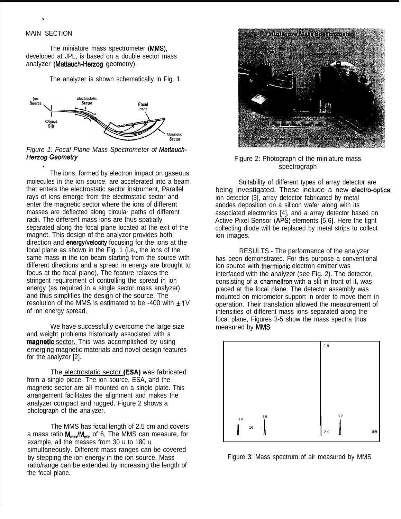# MAIN SECTION

.

●

The miniature mass spectrometer (MMS), developed at JPL, is based on a double sector mass analyzer (Mattauch-Herzog geometry).

The analyzer is shown schematically in Fig. 1.



Figure 1: Focal Plane Mass Spectrometer of Mattauch-Herzog Geometry

The ions, formed by electron impact on gaseous molecules in the ion source, are accelerated into a beam that enters the electrostatic sector instrument, Parallel rays of ions emerge from the electrostatic sector and enter the magnetic sector where the ions of different masses are deflected along circular paths of different radii. The different mass ions are thus spatially separated along the focal plane located at the exit of the magnet. This design of the analyzer provides both direction and energy/veiocity focusing for the ions at the focal plane as shown in the Fig. 1 (i.e., the ions of the same mass in the ion beam starting from the source with different directions and a spread in energy are brought to focus at the focal plane), The feature relaxes the stringent requirement of controlling the spread in ion energy (as required in a single sector mass analyzer) and thus simplifies the design of the source. The resolution of the MMS is estimated to be -400 with  $\pm 1$  V of ion energy spread,

We have successfully overcome the large size and weight problems historically associated with a magnetic sector. This was accomplished by using emerging magnetic materials and novel design features for the analyzer [2].

The electrostatic sector (ESA) was fabricated from a single piece. The ion source, ESA, and the magnetic sector are all mounted on a single plate. This arrangement facilitates the alignment and makes the analyzer compact and rugged. Figure 2 shows a photograph of the analyzer.

The MMS has focal length of 2.5 cm and covers a mass ratio  $M_{\text{max}}/M_{\text{min}}$  of 6, The MMS can measure, for example, all the masses from 30 u to 180 u simultaneously. Different mass ranges can be covered by stepping the ion energy in the ion source, Mass ratio/range can be extended by increasing the length of the focal plane.



Figure 2: Photograph of the miniature mass spectrograph

Suitability of different types of array detector are being investigated. These include a new electro-optical ion detector [3], array detector fabricated by metal anodes deposition on a silicon wafer along with its associated electronics [4], and a array detector based on Active Pixel Sensor (APS) elements [5,6]. Here the light collecting diode will be replaced by metal strips to collect ion images.

RESULTS - The performance of the analyzer has been demonstrated. For this purpose a conventional ion source with thermionic electron emitter was interfaced with the analyzer (see Fig. 2). The detector, consisting of a channeltron with a slit in front of it, was placed at the focal plane. The detector assembly was mounted on micrometer support in order to move them in operation. Their translation allowed the measurement of intensities of different mass ions separated along the focal plane, Figures 3-5 show the mass spectra thus measured by MMS,



Figure 3: Mass spectrum of air measured by MMS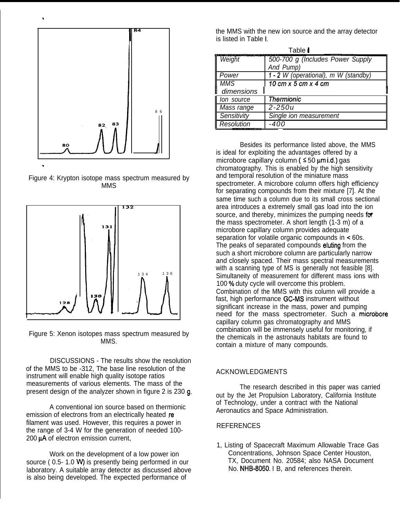

Figure 4: Krypton isotope mass spectrum measured by MMS



Figure 5: Xenon isotopes mass spectrum measured by MMS.

DISCUSSIONS - The results show the resolution of the MMS to be -312, The base line resolution of the instrument will enable high quality isotope ratios measurements of various elements. The mass of the present design of the analyzer shown in figure 2 is 230 g,

A conventional ion source based on thermionic emission of electrons from an electrically heated re filament was used. However, this requires a power in the range of 3-4 W for the generation of needed 100-  $200 \mu A$  of electron emission current,

Work on the development of a low power ion source ( 0.5- 1.0 W) is presently being performed in our laboratory. A suitable array detector as discussed above is also being developed. The expected performance of

the MMS with the new ion source and the array detector is listed in Table 1,

| Table I     |                                          |
|-------------|------------------------------------------|
| Weight      | 500-700 g (Includes Power Supply         |
|             | And Pump)                                |
| Power       | 1 - 2 W (operational), m W (standby)     |
| <b>MMS</b>  | $\overline{10 \text{ cm}}$ x 5 cm x 4 cm |
| dimensions  |                                          |
| lon source  | <b>Thermionic</b>                        |
| Mass range  | $2 - 250u$                               |
| Sensitivity | Single ion measurement                   |
| Resolution  | -400                                     |

Besides its performance listed above, the MMS is ideal for exploiting the advantages offered by a microbore capillary column ( $\leq$  50  $\mu$ m i.d.) gas chromatography. This is enabled by the high sensitivity and temporal resolution of the miniature mass spectrometer. A microbore column offers high efficiency for separating compounds from their mixture [7]. At the same time such a column due to its small cross sectional area introduces a extremely small gas load into the ion source, and thereby, minimizes the pumping needs for the mass spectrometer. A short length (1-3 m) of a microbore capillary column provides adequate separation for volatile organic compounds in < 60s. The peaks of separated compounds eluting from the such a short microbore column are particularly narrow and closely spaced. Their mass spectral measurements with a scanning type of MS is generally not feasible [8]. Simultaneity of measurement for different mass ions with 100 % duty cycle will overcome this problem. Combination of the MMS with this column will provide a fast, high performance GC-MS instrument without significant increase in the mass, power and pumping need for the mass spectrometer. Such a microbore capillary column gas chromatography and MMS combination will be immensely useful for monitoring, if the chemicals in the astronauts habitats are found to contain a mixture of many compounds.

# ACKNOWLEDGMENTS

The research described in this paper was carried out by the Jet Propulsion Laboratory, California Institute of Technology, under a contract with the National Aeronautics and Space Administration.

# **REFERENCES**

1, Listing of Spacecraft Maximum Allowable Trace Gas Concentrations, Johnson Space Center Houston, TX, Document No. 20584; also NASA Document No. NHB-8060. I B, and references therein.